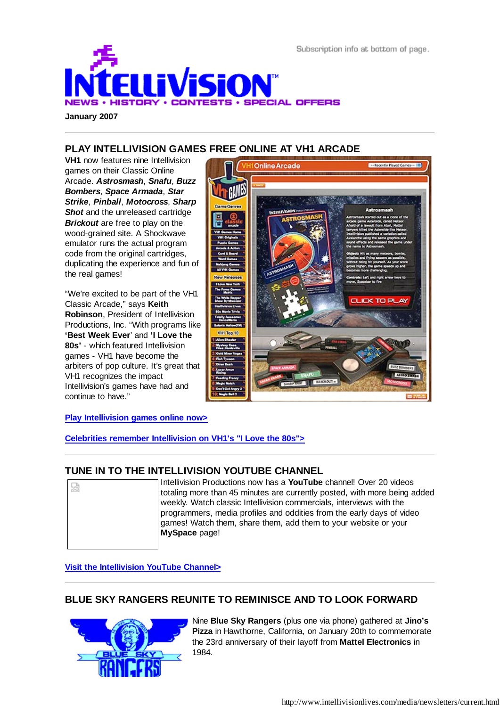



**PLAY INTELLIVISION GAMES FREE ONLINE AT VH1 ARCADE**

**VH1** now features nine Intellivision games on their Classic Online Arcade. *Astrosmash*, *Snafu*, *Buzz Bombers*, *Space Armada*, *Star Strike*, *Pinball*, *Motocross*, *Sharp* **Shot** and the unreleased cartridge *Brickout* are free to play on the wood-grained site. A Shockwave emulator runs the actual program code from the original cartridges, duplicating the experience and fun of the real games!

"We're excited to be part of the VH1 Classic Arcade," says **Keith Robinson**, President of Intellivision Productions, Inc. "With programs like **'Best Week Ever**' and **'I Love the 80s'** - which featured Intellivision games - VH1 have become the arbiters of pop culture. It's great that VH1 recognizes the impact Intellivision's games have had and continue to have."



**Play Intellivision games online now>**

**Celebrities remember Intellivision on VH1's "I Love the 80s">**

## **TUNE IN TO THE INTELLIVISION YOUTUBE CHANNEL**

| 덟 | Intellivision Productions now has a YouTube channel! Over 20 videos       |
|---|---------------------------------------------------------------------------|
|   | totaling more than 45 minutes are currently posted, with more being added |
|   | weekly. Watch classic Intellivision commercials, interviews with the      |
|   | programmers, media profiles and oddities from the early days of video     |
|   | games! Watch them, share them, add them to your website or your           |
|   | MySpace page!                                                             |
|   |                                                                           |
|   |                                                                           |

**Visit the Intellivision YouTube Channel>**

# **BLUE SKY RANGERS REUNITE TO REMINISCE AND TO LOOK FORWARD**



Nine **Blue Sky Rangers** (plus one via phone) gathered at **Jino's Pizza** in Hawthorne, California, on January 20th to commemorate the 23rd anniversary of their layoff from **Mattel Electronics** in 1984.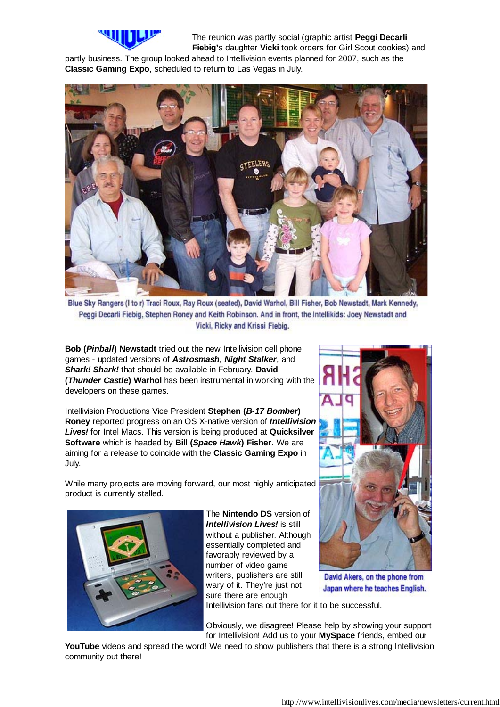

The reunion was partly social (graphic artist **Peggi Decarli Fiebig'**s daughter **Vicki** took orders for Girl Scout cookies) and

partly business. The group looked ahead to Intellivision events planned for 2007, such as the **Classic Gaming Expo**, scheduled to return to Las Vegas in July.



Blue Sky Rangers (I to r) Traci Roux, Ray Roux (seated), David Warhol, Bill Fisher, Bob Newstadt, Mark Kennedy, Peggi Decarli Fiebig, Stephen Roney and Keith Robinson. And in front, the Intellikids: Joey Newstadt and Vicki, Ricky and Krissi Fiebig.

**Bob (***Pinball***) Newstadt** tried out the new Intellivision cell phone games - updated versions of *Astrosmash*, *Night Stalker*, and *Shark! Shark!* that should be available in February. **David (***Thunder Castle***) Warhol** has been instrumental in working with the developers on these games.

Intellivision Productions Vice President **Stephen (***B-17 Bomber***) Roney** reported progress on an OS X-native version of *Intellivision Lives!* for Intel Macs. This version is being produced at **Quicksilver Software** which is headed by **Bill (***Space Hawk***) Fisher**. We are aiming for a release to coincide with the **Classic Gaming Expo** in July.

While many projects are moving forward, our most highly anticipated product is currently stalled.



The **Nintendo DS** version of *Intellivision Lives!* is still without a publisher. Although essentially completed and favorably reviewed by a number of video game writers, publishers are still wary of it. They're just not sure there are enough

Intellivision fans out there for it to be successful.

Obviously, we disagree! Please help by showing your support for Intellivision! Add us to your **MySpace** friends, embed our

YouTube videos and spread the word! We need to show publishers that there is a strong Intellivision community out there!



David Akers, on the phone from Japan where he teaches English.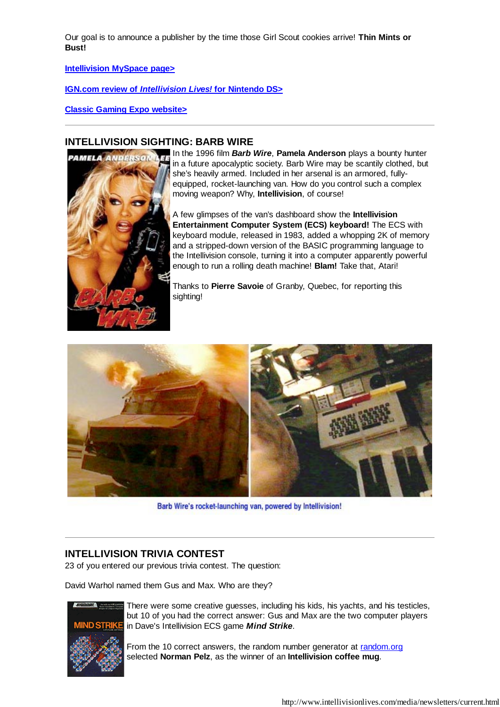Our goal is to announce a publisher by the time those Girl Scout cookies arrive! **Thin Mints or Bust!**

**Intellivision MySpace page>**

**IGN.com review of** *Intellivision Lives!* **for Nintendo DS>**

**Classic Gaming Expo website>**

#### **INTELLIVISION SIGHTING: BARB WIRE**



In the 1996 film *Barb Wire*, **Pamela Anderson** plays a bounty hunter in a future apocalyptic society. Barb Wire may be scantily clothed, but she's heavily armed. Included in her arsenal is an armored, fullyequipped, rocket-launching van. How do you control such a complex moving weapon? Why, **Intellivision**, of course!

A few glimpses of the van's dashboard show the **Intellivision Entertainment Computer System (ECS) keyboard!** The ECS with keyboard module, released in 1983, added a whopping 2K of memory and a stripped-down version of the BASIC programming language to the Intellivision console, turning it into a computer apparently powerful enough to run a rolling death machine! **Blam!** Take that, Atari!

Thanks to **Pierre Savoie** of Granby, Quebec, for reporting this sighting!



Barb Wire's rocket-launching van, powered by Intellivision!

### **INTELLIVISION TRIVIA CONTEST**

23 of you entered our previous trivia contest. The question:

David Warhol named them Gus and Max. Who are they?



There were some creative guesses, including his kids, his yachts, and his testicles, but 10 of you had the correct answer: Gus and Max are the two computer players in Dave's Intellivision ECS game *Mind Strike*.

From the 10 correct answers, the random number generator at random.org selected **Norman Pelz**, as the winner of an **Intellivision coffee mug**.